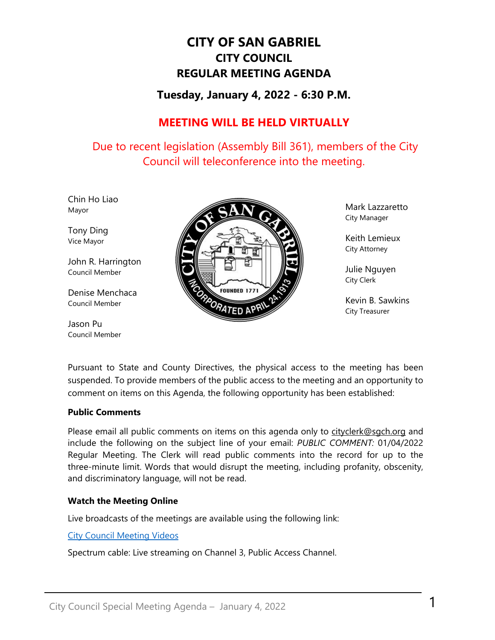# **CITY OF SAN GABRIEL CITY COUNCIL REGULAR MEETING AGENDA**

## **Tuesday, January 4, 2022 - 6:30 P.M.**

## **MEETING WILL BE HELD VIRTUALLY**

Due to recent legislation (Assembly Bill 361), members of the City Council will teleconference into the meeting.

Chin Ho Liao Mayor

Tony Ding Vice Mayor

John R. Harrington Council Member

Denise Menchaca Council Member

Jason Pu Council Member



Mark Lazzaretto City Manager

Keith Lemieux City Attorney

Julie Nguyen City Clerk

Kevin B. Sawkins City Treasurer

Pursuant to State and County Directives, the physical access to the meeting has been suspended. To provide members of the public access to the meeting and an opportunity to comment on items on this Agenda, the following opportunity has been established:

#### **Public Comments**

Please email all public comments on items on this agenda only to [cityclerk@sgch.org](mailto:cityclerk@sgch.org) and include the following on the subject line of your email: *PUBLIC COMMENT:* 01/04/2022 Regular Meeting. The Clerk will read public comments into the record for up to the three-minute limit. Words that would disrupt the meeting, including profanity, obscenity, and discriminatory language, will not be read.

#### **Watch the Meeting Online**

Live broadcasts of the meetings are available using the following link:

[City Council Meeting Videos](https://www.youtube.com/CityofSanGabriel)

Spectrum cable: Live streaming on Channel 3, Public Access Channel.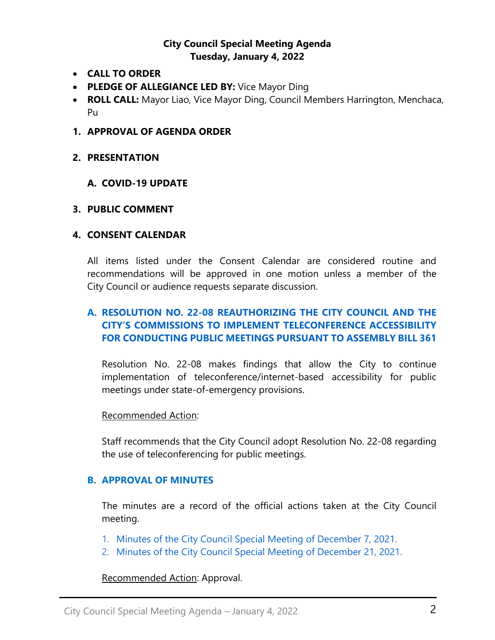## **City Council Special Meeting Agenda Tuesday, January 4, 2022**

- **CALL TO ORDER**
- **PLEDGE OF ALLEGIANCE LED BY:** Vice Mayor Ding
- **ROLL CALL:** Mayor Liao, Vice Mayor Ding, Council Members Harrington, Menchaca, Pu
- **1. APPROVAL OF AGENDA ORDER**
- **2. PRESENTATION**

#### **A. COVID-19 UPDATE**

#### **3. PUBLIC COMMENT**

#### **4. CONSENT CALENDAR**

All items listed under the Consent Calendar are considered routine and recommendations will be approved in one motion unless a member of the City Council or audience requests separate discussion.

## **A. [RESOLUTION NO. 22-08 REAUTHORIZING THE CITY COUNCIL AND THE](https://www.sangabrielcity.com/DocumentCenter/View/15844/4A---Resolution-No-22-08-City-Council-and-the-City-Commissions-Teleconference-Accessibility-Public-Meetings-Pursuant-to-AB361) [CITY'S COMMISSIONS TO IMPLEMENT TELECONFERENCE ACCESSIBILITY](https://www.sangabrielcity.com/DocumentCenter/View/15844/4A---Resolution-No-22-08-City-Council-and-the-City-Commissions-Teleconference-Accessibility-Public-Meetings-Pursuant-to-AB361)  [FOR CONDUCTING PUBLIC MEETINGS PURSUANT TO ASSEMBLY BILL 361](https://www.sangabrielcity.com/DocumentCenter/View/15844/4A---Resolution-No-22-08-City-Council-and-the-City-Commissions-Teleconference-Accessibility-Public-Meetings-Pursuant-to-AB361)**

Resolution No. 22-08 makes findings that allow the City to continue implementation of teleconference/internet-based accessibility for public meetings under state-of-emergency provisions.

#### Recommended Action:

Staff recommends that the City Council adopt Resolution No. 22-08 regarding the use of teleconferencing for public meetings.

#### **B. APPROVAL OF MINUTES**

The minutes are a record of the official actions taken at the City Council meeting.

- 1. [Minutes of the City Council Special Meeting of December 7, 2021.](https://www.sangabrielcity.com/DocumentCenter/View/15837/4B1---2021-12-07-Minutes---Special)
- 2. [Minutes of the City Council Special Meeting of December 21, 2021.](https://www.sangabrielcity.com/DocumentCenter/View/15838/4B2---2021-12-21-Minutes---Special)

#### Recommended Action: Approval.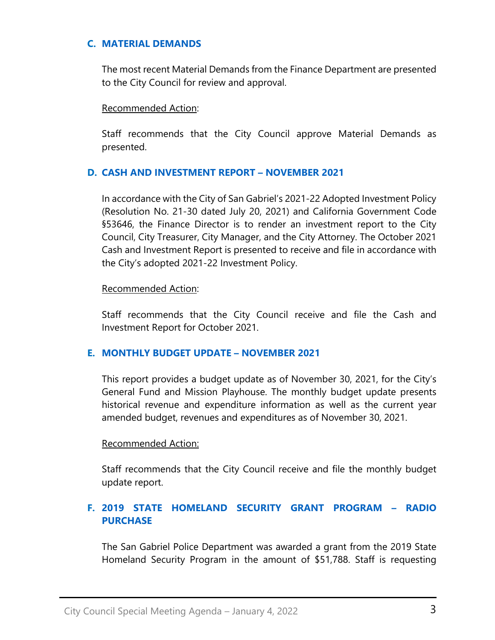#### **C. [MATERIAL DEMANDS](https://www.sangabrielcity.com/DocumentCenter/View/15839/4C---Material-Demands)**

The most recent Material Demands from the Finance Department are presented to the City Council for review and approval.

Recommended Action:

Staff recommends that the City Council approve Material Demands as presented.

#### **D. [CASH AND INVESTMENT REPORT –](https://www.sangabrielcity.com/DocumentCenter/View/15840/4D---Cash-Investment-Report---November-2021) NOVEMBER 2021**

In accordance with the City of San Gabriel's 2021-22 Adopted Investment Policy (Resolution No. 21-30 dated July 20, 2021) and California Government Code §53646, the Finance Director is to render an investment report to the City Council, City Treasurer, City Manager, and the City Attorney. The October 2021 Cash and Investment Report is presented to receive and file in accordance with the City's adopted 2021-22 Investment Policy.

#### Recommended Action:

Staff recommends that the City Council receive and file the Cash and Investment Report for October 2021.

#### **E. [MONTHLY BUDGET UPDATE](https://www.sangabrielcity.com/DocumentCenter/View/15841/4E---Monthly-Budget-Update---November-2021) – NOVEMBER 2021**

This report provides a budget update as of November 30, 2021, for the City's General Fund and Mission Playhouse. The monthly budget update presents historical revenue and expenditure information as well as the current year amended budget, revenues and expenditures as of November 30, 2021.

#### Recommended Action:

Staff recommends that the City Council receive and file the monthly budget update report.

## **F. [2019 STATE HOMELAND SECURITY GRANT PROGRAM –](https://www.sangabrielcity.com/DocumentCenter/View/15842/4F---2019-State-Homeland-Security-Grant-Program---Radio-Purchase) RADIO [PURCHASE](https://www.sangabrielcity.com/DocumentCenter/View/15842/4F---2019-State-Homeland-Security-Grant-Program---Radio-Purchase)**

The San Gabriel Police Department was awarded a grant from the 2019 State Homeland Security Program in the amount of \$51,788. Staff is requesting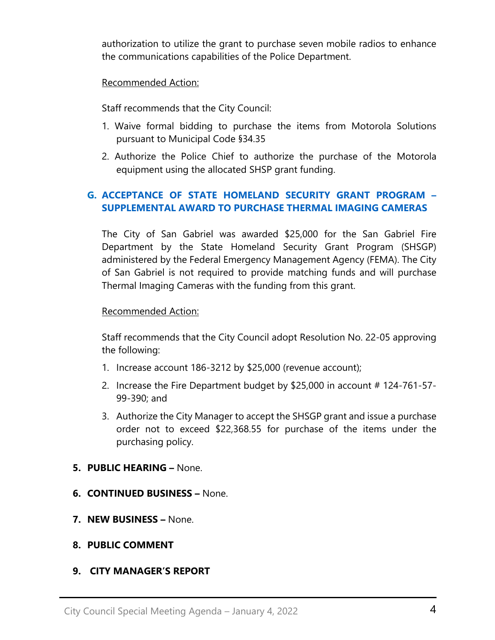authorization to utilize the grant to purchase seven mobile radios to enhance the communications capabilities of the Police Department.

#### Recommended Action:

Staff recommends that the City Council:

- 1. Waive formal bidding to purchase the items from Motorola Solutions pursuant to Municipal Code §34.35
- 2. Authorize the Police Chief to authorize the purchase of the Motorola equipment using the allocated SHSP grant funding.

## **G. ACCEPTANCE OF [STATE HOMELAND SECURITY GRANT PROGRAM –](https://www.sangabrielcity.com/DocumentCenter/View/15843/4G---Acceptance-of-State-HOmeland-Security-Program---Supplemental-Award-to-Purchase-Thermal-Imaging-Cameras) [SUPPLEMENTAL AWARD TO PURCHASE THERMAL IMAGING CAMERAS](https://www.sangabrielcity.com/DocumentCenter/View/15843/4G---Acceptance-of-State-HOmeland-Security-Program---Supplemental-Award-to-Purchase-Thermal-Imaging-Cameras)**

The City of San Gabriel was awarded \$25,000 for the San Gabriel Fire Department by the State Homeland Security Grant Program (SHSGP) administered by the Federal Emergency Management Agency (FEMA). The City of San Gabriel is not required to provide matching funds and will purchase Thermal Imaging Cameras with the funding from this grant.

#### Recommended Action:

Staff recommends that the City Council adopt Resolution No. 22-05 approving the following:

- 1. Increase account 186-3212 by \$25,000 (revenue account);
- 2. Increase the Fire Department budget by \$25,000 in account # 124-761-57- 99-390; and
- 3. Authorize the City Manager to accept the SHSGP grant and issue a purchase order not to exceed \$22,368.55 for purchase of the items under the purchasing policy.

#### **5. PUBLIC HEARING –** None.

- **6. CONTINUED BUSINESS –** None.
- **7. NEW BUSINESS –** None.

#### **8. PUBLIC COMMENT**

#### **9. CITY MANAGER'S REPORT**